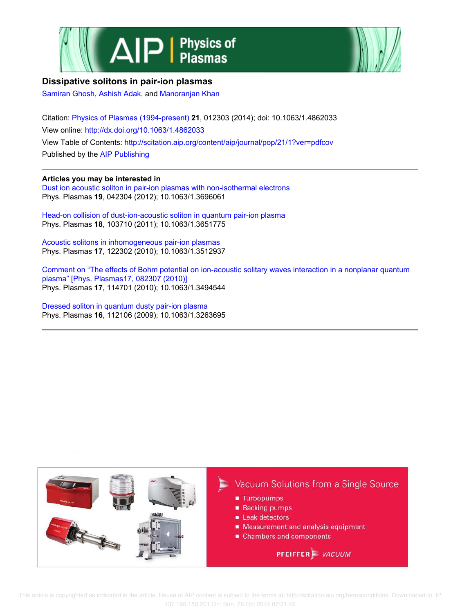



# **Dissipative solitons in pair-ion plasmas**

Samiran Ghosh, Ashish Adak, and Manoranjan Khan

Citation: Physics of Plasmas (1994-present) **21**, 012303 (2014); doi: 10.1063/1.4862033 View online: http://dx.doi.org/10.1063/1.4862033 View Table of Contents: http://scitation.aip.org/content/aip/journal/pop/21/1?ver=pdfcov Published by the AIP Publishing

## **Articles you may be interested in**

Dust ion acoustic soliton in pair-ion plasmas with non-isothermal electrons Phys. Plasmas **19**, 042304 (2012); 10.1063/1.3696061

Head-on collision of dust-ion-acoustic soliton in quantum pair-ion plasma Phys. Plasmas **18**, 103710 (2011); 10.1063/1.3651775

Acoustic solitons in inhomogeneous pair-ion plasmas Phys. Plasmas **17**, 122302 (2010); 10.1063/1.3512937

Comment on "The effects of Bohm potential on ion-acoustic solitary waves interaction in a nonplanar quantum plasma" [Phys. Plasmas17, 082307 (2010)] Phys. Plasmas **17**, 114701 (2010); 10.1063/1.3494544

Dressed soliton in quantum dusty pair-ion plasma Phys. Plasmas **16**, 112106 (2009); 10.1063/1.3263695



 This article is copyrighted as indicated in the article. Reuse of AIP content is subject to the terms at: http://scitation.aip.org/termsconditions. Downloaded to IP: 137.195.150.201 On: Sun, 26 Oct 2014 07:21:45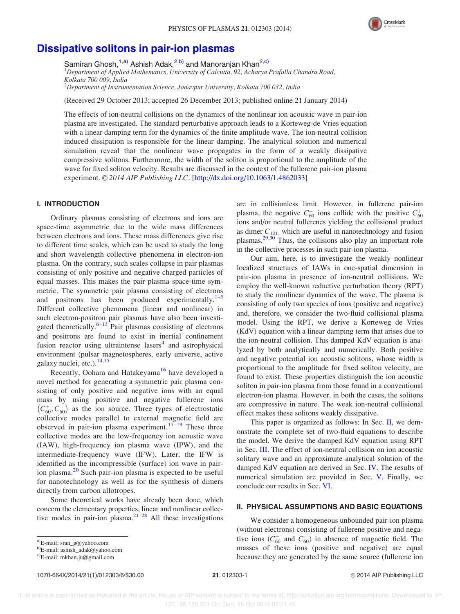

# Dissipative solitons in pair-ion plasmas

Samiran Ghosh,<sup>1,a)</sup> Ashish Adak,<sup>2,b)</sup> and Manoranjan Khan<sup>2,c)</sup> <sup>1</sup>Department of Applied Mathematics, University of Calcutta, 92, Acharya Prafulla Chandra Road, Kolkata 700 009, India  $2$ Department of Instrumentation Science, Jadavpur University, Kolkata 700 032, India

(Received 29 October 2013; accepted 26 December 2013; published online 21 January 2014)

The effects of ion-neutral collisions on the dynamics of the nonlinear ion acoustic wave in pair-ion plasma are investigated. The standard perturbative approach leads to a Korteweg-de Vries equation with a linear damping term for the dynamics of the finite amplitude wave. The ion-neutral collision induced dissipation is responsible for the linear damping. The analytical solution and numerical simulation reveal that the nonlinear wave propagates in the form of a weakly dissipative compressive solitons. Furthermore, the width of the soliton is proportional to the amplitude of the wave for fixed soliton velocity. Results are discussed in the context of the fullerene pair-ion plasma experiment. © 2014 AIP Publishing LLC. [http://dx.doi.org/10.1063/1.4862033]

### I. INTRODUCTION

Ordinary plasmas consisting of electrons and ions are space-time asymmetric due to the wide mass differences between electrons and ions. These mass differences give rise to different time scales, which can be used to study the long and short wavelength collective phenomena in electron-ion plasma. On the contrary, such scales collapse in pair plasmas consisting of only positive and negative charged particles of equal masses. This makes the pair plasma space-time symmetric. The symmetric pair plasma consisting of electrons and positrons has been produced experimentally. $1-5$ Different collective phenomena (linear and nonlinear) in such electron-positron pair plasmas have also been investigated theoretically. $6-13$  Pair plasmas consisting of electrons and positrons are found to exist in inertial confinement fusion reactor using ultraintense lasers<sup>4</sup> and astrophysical environment (pulsar magnetospheres, early universe, active galaxy nuclei, etc.).<sup>14,15</sup>

Recently, Oohara and Hatakeyama<sup>16</sup> have developed a novel method for generating a symmetric pair plasma consisting of only positive and negative ions with an equal mass by using positive and negative fullerene ions  $(C_{60}^+, C_{60}^-)$  as the ion source. Three types of electrostatic collective modes parallel to external magnetic field are observed in pair-ion plasma experiment.<sup>17–19</sup> These three collective modes are the low-frequency ion acoustic wave (IAW), high-frequency ion plasma wave (IPW), and the intermediate-frequency wave (IFW). Later, the IFW is identified as the incompressible (surface) ion wave in pairion plasma.<sup>20</sup> Such pair-ion plasma is expected to be useful for nanotechnology as well as for the synthesis of dimers directly from carbon allotropes.

Some theoretical works have already been done, which concern the elementary properties, linear and nonlinear collective modes in pair-ion plasma. $2^{1-28}$  All these investigations

1070-664X/2014/21(1)/012303/6/\$30.00 21, 012303-1 201303-1 21, 2014 AIP Publishing LLC

are in collisionless limit. However, in fullerene pair-ion plasma, the negative  $C_{60}^-$  ions collide with the positive  $C_{60}^+$ ions and/or neutral fullerenes yielding the collisional product as dimer  $C_{121}$ , which are useful in nanotechnology and fusion plasmas.29,30 Thus, the collisions also play an important role in the collective processes in such pair-ion plasma.

Our aim, here, is to investigate the weakly nonlinear localized structures of IAWs in one-spatial dimension in pair-ion plasma in presence of ion-neutral collisions. We employ the well-known reductive perturbation theory (RPT) to study the nonlinear dynamics of the wave. The plasma is consisting of only two species of ions (positive and negative) and, therefore, we consider the two-fluid collisional plasma model. Using the RPT, we derive a Korteweg de Vries (KdV) equation with a linear damping term that arises due to the ion-neutral collision. This damped KdV equation is analyzed by both analytically and numerically. Both positive and negative potential ion acoustic solitons, whose width is proportional to the amplitude for fixed soliton velocity, are found to exist. These properties distinguish the ion acoustic soliton in pair-ion plasma from those found in a conventional electron-ion plasma. However, in both the cases, the solitons are compressive in nature. The weak ion-neutral collisional effect makes these solitons weakly dissipative.

This paper is organized as follows: In Sec. II, we demonstrate the complete set of two-fluid equations to describe the model. We derive the damped KdV equation using RPT in Sec. III. The effect of ion-neutral collision on ion acoustic solitary wave and an approximate analytical solution of the damped KdV equation are derived in Sec. IV. The results of numerical simulation are provided in Sec. V. Finally, we conclude our results in Sec. VI.

#### II. PHYSICAL ASSUMPTIONS AND BASIC EQUATIONS

We consider a homogeneous unbounded pair-ion plasma (without electrons) consisting of fullerene positive and negative ions ( $C_{60}^{+}$  and  $C_{60}^{-}$ ) in absence of magnetic field. The masses of these ions (positive and negative) are equal because they are generated by the same source (fullerene ion

a)E-mail: sran\_g@yahoo.com

b)E-mail: ashish\_adak@yahoo.com

c)E-mail: mkhan.ju@gmail.com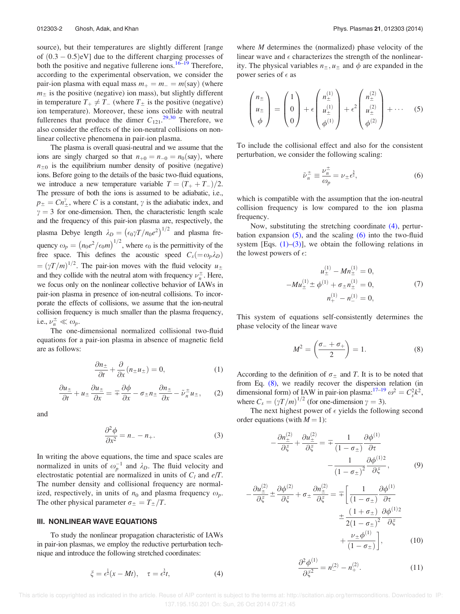source), but their temperatures are slightly different [range of  $(0.3 - 0.5)$ eV] due to the different charging processes of both the positive and negative fullerene ions.<sup>16–19</sup> Therefore, according to the experimental observation, we consider the pair-ion plasma with equal mass  $m_+ = m_- = m$ (say) (where  $m<sub>±</sub>$  is the positive (negative) ion mass), but slightly different in temperature  $T_+ \neq T_-$  (where  $T_{\pm}$  is the positive (negative) ion temperature). Moreover, these ions collide with neutral fullerenes that produce the dimer  $C_{121}$ .<sup>29,30</sup> Therefore, we also consider the effects of the ion-neutral collisions on nonlinear collective phenomena in pair-ion plasma.

The plasma is overall quasi-neutral and we assume that the ions are singly charged so that  $n_{+0} = n_{-0} = n_0$  (say), where  $n_{\pm0}$  is the equilibrium number density of positive (negative) ions. Before going to the details of the basic two-fluid equations, we introduce a new temperature variable  $T = (T_+ + T_-)/2$ . The pressure of both the ions is assumed to be adiabatic, i.e.,  $p_{\pm} = C n_{\pm}^{\gamma}$ , where C is a constant,  $\gamma$  is the adiabatic index, and  $\gamma = 3$  for one-dimension. Then, the characteristic length scale and the frequency of this pair-ion plasma are, respectively, the plasma Debye length  $\lambda_D = (\epsilon_0 \gamma T/n_0 e^2)^{1/2}$  and plasma frequency  $\omega_p = (n_0 e^2/\epsilon_0 m)^{1/2}$ , where  $\epsilon_0$  is the permittivity of the free space. This defines the acoustic speed  $C_s(=\omega_p\lambda_p)$  $= (\gamma T/m)^{1/2}$ . The pair-ion moves with the fluid velocity  $u_{\pm}$ and they collide with the neutral atom with frequency  $\nu_n^{\pm}$  $\frac{1}{n}$ . Here, we focus only on the nonlinear collective behavior of IAWs in pair-ion plasma in presence of ion-neutral collisions. To incorporate the effects of collisions, we assume that the ion-neutral collision frequency is much smaller than the plasma frequency, i.e.,  $\nu_n^{\pm} \ll \omega_p$ .

The one-dimensional normalized collisional two-fluid equations for a pair-ion plasma in absence of magnetic field are as follows:

$$
\frac{\partial n_{\pm}}{\partial t} + \frac{\partial}{\partial x}(n_{\pm}u_{\pm}) = 0, \tag{1}
$$

$$
\frac{\partial u_{\pm}}{\partial t} + u_{\pm} \frac{\partial u_{\pm}}{\partial x} = \mp \frac{\partial \phi}{\partial x} - \sigma_{\pm} n_{\pm} \frac{\partial n_{\pm}}{\partial x} - \tilde{\nu}_{n}^{\pm} u_{\pm}, \qquad (2)
$$

and

$$
\frac{\partial^2 \phi}{\partial x^2} = n_- - n_+.\tag{3}
$$

In writing the above equations, the time and space scales are normalized in units of  $\omega_p^{-1}$  and  $\lambda_D$ . The fluid velocity and electrostatic potential are normalized in units of  $C_l$  and  $e/T$ . The number density and collisional frequency are normalized, respectively, in units of  $n_0$  and plasma frequency  $\omega_p$ . The other physical parameter  $\sigma_{\pm} = T_{\pm}/T$ .

#### III. NONLINEAR WAVE EQUATIONS

To study the nonlinear propagation characteristic of IAWs in pair-ion plasmas, we employ the reductive perturbation technique and introduce the following stretched coordinates:

where  $M$  determines the (normalized) phase velocity of the linear wave and  $\epsilon$  characterizes the strength of the nonlinearity. The physical variables  $n_{\pm}$ ,  $u_{\pm}$  and  $\phi$  are expanded in the power series of  $\epsilon$  as

$$
\begin{pmatrix} n_{\pm} \\ u_{\pm} \\ \phi \end{pmatrix} = \begin{pmatrix} 1 \\ 0 \\ 0 \end{pmatrix} + \epsilon \begin{pmatrix} n_{\pm}^{(1)} \\ u_{\pm}^{(1)} \\ \phi^{(1)} \end{pmatrix} + \epsilon^2 \begin{pmatrix} n_{\pm}^{(2)} \\ u_{\pm}^{(2)} \\ \phi^{(2)} \end{pmatrix} + \cdots (5)
$$

To include the collisional effect and also for the consistent perturbation, we consider the following scaling:

$$
\tilde{\nu}_n^{\pm} \equiv \frac{\nu_n^{\pm}}{\omega_p} = \nu_{\pm} \epsilon^{\frac{3}{2}},\tag{6}
$$

which is compatible with the assumption that the ion-neutral collision frequency is low compared to the ion plasma frequency.

Now, substituting the stretching coordinate (4), perturbation expansion  $(5)$ , and the scaling  $(6)$  into the two-fluid system [Eqs.  $(1)$ – $(3)$ ], we obtain the following relations in the lowest powers of  $\epsilon$ :

$$
u_{\pm}^{(1)} - Mn_{\pm}^{(1)} = 0,
$$
  
-
$$
Mu_{\pm}^{(1)} \pm \phi^{(1)} + \sigma_{\pm} n_{\pm}^{(1)} = 0,
$$
  

$$
n_{+}^{(1)} - n_{-}^{(1)} = 0,
$$
 (7)

This system of equations self-consistently determines the phase velocity of the linear wave

$$
M^2 = \left(\frac{\sigma_- + \sigma_+}{2}\right) = 1. \tag{8}
$$

According to the definition of  $\sigma_{\pm}$  and T. It is to be noted that from Eq. (8), we readily recover the dispersion relation (in dimensional form) of IAW in pair-ion plasma:  $17-19 \omega^2 = C_s^2 k^2$ , where  $C_s = (\gamma T/m)^{1/2}$  (for one-dimension  $\gamma = 3$ ).

The next highest power of  $\epsilon$  yields the following second order equations (with  $M = 1$ ):

$$
-\frac{\partial n_{\pm}^{(2)}}{\partial \xi} + \frac{\partial u_{\pm}^{(2)}}{\partial \xi} = \mp \frac{1}{(1 - \sigma_{\pm})} \frac{\partial \phi^{(1)}}{\partial \tau} - \frac{1}{(1 - \sigma_{\pm})^2} \frac{\partial \phi^{(1)}(2)}{\partial \xi},
$$
(9)

$$
-\frac{\partial u_{\pm}^{(2)}}{\partial \xi} \pm \frac{\partial \phi^{(2)}}{\partial \xi} + \sigma_{\pm} \frac{\partial n_{\pm}^{(2)}}{\partial \xi} = \mp \left[ \frac{1}{(1 - \sigma_{\pm})} \frac{\partial \phi^{(1)}}{\partial \tau} + \frac{(1 + \sigma_{\pm})}{2(1 - \sigma_{\pm})^2} \frac{\partial \phi^{(1)2}}{\partial \xi} + \frac{\nu_{\pm} \phi^{(1)}}{(1 - \sigma_{\pm})} \right],
$$
(10)

$$
\frac{\partial^2 \phi^{(1)}}{\partial \xi^2} = n_-^{(2)} - n_+^{(2)}.
$$
 (11)

 This article is copyrighted as indicated in the article. Reuse of AIP content is subject to the terms at: http://scitation.aip.org/termsconditions. Downloaded to IP: 137.195.150.201 On: Sun, 26 Oct 2014 07:21:45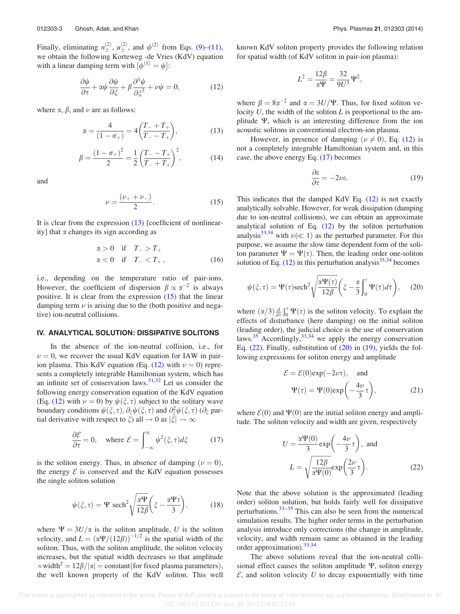Finally, eliminating  $n_{\pm}^{(2)}$ ,  $u_{\pm}^{(2)}$ , and  $\phi^{(2)}$  from Eqs. (9)–(11), we obtain the following Korteweg -de Vries (KdV) equation with a linear damping term with  $[\phi^{(1)} = \psi]$ :

$$
\frac{\partial \psi}{\partial \tau} + \alpha \psi \frac{\partial \psi}{\partial \xi} + \beta \frac{\partial^3 \psi}{\partial \xi^3} + \nu \psi = 0, \qquad (12)
$$

where  $\alpha$ ,  $\beta$ , and  $\nu$  are as follows:

$$
\alpha = \frac{4}{(1 - \sigma_+)} = 4\left(\frac{T_- + T_+}{T_- - T_+}\right),\tag{13}
$$

$$
\beta = \frac{(1 - \sigma_{+})^2}{2} = \frac{1}{2} \left( \frac{T_{-} - T_{+}}{T_{-} + T_{+}} \right)^2, \tag{14}
$$

and

$$
\nu = \frac{(\nu_+ + \nu_-)}{2}.
$$
 (15)

It is clear from the expression (13) [coefficient of nonlinearity] that  $\alpha$  changes its sign according as

$$
\begin{aligned}\n\alpha > 0 \quad \text{if} \quad T_- > T_+ \\
\alpha < 0 \quad \text{if} \quad T_- < T_+, \n\end{aligned} \tag{16}
$$

i.e., depending on the temperature ratio of pair-ions. However, the coefficient of dispersion  $\beta \propto \alpha^{-2}$  is always positive. It is clear from the expression (15) that the linear damping term  $\nu$  is arising due to the (both positive and negative) ion-neutral collisions.

### IV. ANALYTICAL SOLUTION: DISSIPATIVE SOLITONS

In the absence of the ion-neutral collision, i.e., for  $\nu = 0$ , we recover the usual KdV equation for IAW in pairion plasma. This KdV equation (Eq.  $(12)$  with  $\nu = 0$ ) represents a completely integrable Hamiltonian system, which has an infinite set of conservation laws.<sup>31,32</sup> Let us consider the following energy conservation equation of the KdV equation (Eq. (12) with  $\nu = 0$ ) by  $\psi(\xi, \tau)$  subject to the solitary wave boundary conditions  $\psi(\xi, \tau)$ ,  $\partial_{\xi} \psi(\xi, \tau)$  and  $\partial_{\xi}^2 \psi(\xi, \tau)$  ( $\partial_{\xi}$  partial derivative with respect to  $\xi$ ) all  $\rightarrow 0$  as  $|\xi| \rightarrow \infty$ 

$$
\frac{\partial \mathcal{E}}{\partial \tau} = 0, \quad \text{where } \mathcal{E} = \int_{-\infty}^{\infty} \psi^2(\xi, \tau) d\xi \tag{17}
$$

is the soliton energy. Thus, in absence of damping  $(\nu = 0)$ , the energy  $\mathcal E$  is conserved and the KdV equation possesses the single soliton solution

$$
\psi(\xi,\tau) = \Psi \ \text{sech}^2 \sqrt{\frac{\alpha \Psi}{12\beta}} \left(\xi - \frac{\alpha \Psi \tau}{3}\right),\tag{18}
$$

where  $\Psi = 3U/\alpha$  is the soliton amplitude, U is the soliton velocity, and  $L = (\alpha \Psi/(12\beta))^{-1/2}$  is the spatial width of the soliton. Thus, with the soliton amplitude, the soliton velocity increases, but the spatial width decreases so that amplitude  $\times$ width<sup>2</sup> = 12 $\beta/|\alpha|$  = constant(for fixed plasma parameters), the well known property of the KdV soliton. This well known KdV soliton property provides the following relation for spatial width (of KdV soliton in pair-ion plasma):

$$
L^2 = \frac{12\beta}{\alpha \Psi} = \frac{32}{9U^3} \Psi^2,
$$

where  $\beta = 8\alpha^{-2}$  and  $\alpha = 3U/\Psi$ . Thus, for fixed soliton velocity  $U$ , the width of the soliton  $L$  is proportional to the amplitude W, which is an interesting difference from the ion acoustic solitons in conventional electron-ion plasma.

However, in presence of damping ( $\nu \neq 0$ ), Eq. (12) is not a completely integrable Hamiltonian system and, in this case, the above energy Eq. (17) becomes

$$
\frac{\partial \varepsilon}{\partial \tau} = -2\nu\varepsilon. \tag{19}
$$

This indicates that the damped KdV Eq. (12) is not exactly analytically solvable. However, for weak dissipation (damping due to ion-neutral collisions), we can obtain an approximate analytical solution of Eq. (12) by the soliton perturbation analysis<sup>33,34</sup> with  $\nu (\ll 1)$  as the perturbed parameter. For this purpose, we assume the slow time dependent form of the soliton parameter  $\Psi = \Psi(\tau)$ . Then, the leading order one-soliton solution of Eq.  $(12)$  in this perturbation analysis<sup>33,34</sup> becomes

$$
\psi(\xi,\tau) = \Psi(\tau)\mathrm{sech}^2\sqrt{\frac{\alpha\Psi(\tau)}{12\beta}}\bigg(\xi - \frac{\alpha}{3}\int_0^\tau \Psi(\overline{\tau})d\overline{\tau}\bigg),\qquad(20)
$$

where  $(\alpha/3) \frac{d}{d\tau} \int_0^{\tau} \Psi(\tau)$  is the soliton velocity. To explain the effects of disturbance (here damping) on the initial soliton (leading order), the judicial choice is the use of conservation laws. $35$  Accordingly,  $33,34$  we apply the energy conservation Eq. (22). Finally, substitution of (20) in (19), yields the following expressions for soliton energy and amplitude

$$
\mathcal{E} = \mathcal{E}(0) \exp(-2\nu\tau), \text{ and}
$$

$$
\Psi(\tau) = \Psi(0) \exp\left(-\frac{4\nu}{3}\tau\right), \tag{21}
$$

where  $\mathcal{E}(0)$  and  $\Psi(0)$  are the initial soliton energy and amplitude. The soliton velocity and width are given, respectively

$$
U = \frac{\alpha \Psi(0)}{3} \exp\left(-\frac{4\nu}{3}\tau\right), \text{ and}
$$

$$
L = \sqrt{\frac{12\beta}{\alpha \Psi(0)}} \exp\left(\frac{2\nu}{3}\tau\right).
$$
 (22)

Note that the above solution is the approximated (leading order) soliton solution, but holds fairly well for dissipative perturbations. $33-35$  This can also be seen from the numerical simulation results. The higher order terms in the perturbation analysis introduce only corrections (the change in amplitude, velocity, and width remain same as obtained in the leading order approximation).33,34

The above solutions reveal that the ion-neutral collisional effect causes the soliton amplitude  $\Psi$ , soliton energy  $\mathcal E$ , and soliton velocity U to decay exponentially with time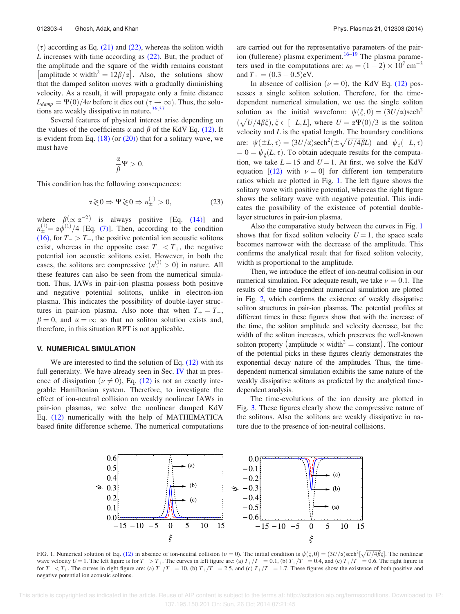$(τ)$  according as Eq. (21) and (22), whereas the soliton width L increases with time according as  $(22)$ . But, the product of the amplitude and the square of the width remains constant [amplitude  $\times$  width<sup>2</sup> = 12 $\beta/\alpha$ ]. Also, the solutions show that the damped soliton moves with a gradually diminishing velocity. As a result, it will propagate only a finite distance  $L_{damp} = \Psi(0)/4\nu$  before it dies out  $(\tau \to \infty)$ . Thus, the solutions are weakly dissipative in nature.<sup>36,37</sup>

Several features of physical interest arise depending on the values of the coefficients  $\alpha$  and  $\beta$  of the KdV Eq. (12). It is evident from Eq.  $(18)$  (or  $(20)$ ) that for a solitary wave, we must have

$$
\frac{\alpha}{\beta}\Psi>0.
$$

This condition has the following consequences:

$$
\alpha \gtrless 0 \Rightarrow \Psi \gtrless 0 \Rightarrow n_{\pm}^{(1)} > 0,\tag{23}
$$

where  $\beta (\propto \alpha^{-2})$  is always positive [Eq. (14)] and  $n_{\pm}^{(1)} = \alpha \phi^{(1)}/4$  [Eq. (7)]. Then, according to the condition (16), for  $T_{-} > T_{+}$ , the positive potential ion acoustic solitons exist, whereas in the opposite case  $T_{-} < T_{+}$ , the negative potential ion acoustic solitons exist. However, in both the cases, the solitons are compressive  $(n^{(1)}_{\pm} > 0)$  in nature. All these features can also be seen from the numerical simulation. Thus, IAWs in pair-ion plasma possess both positive and negative potential solitons, unlike in electron-ion plasma. This indicates the possibility of double-layer structures in pair-ion plasma. Also note that when  $T_+ = T_-$ ,  $\beta = 0$ , and  $\alpha = \infty$  so that no soliton solution exists and, therefore, in this situation RPT is not applicable.

#### V. NUMERICAL SIMULATION

We are interested to find the solution of Eq.  $(12)$  with its full generality. We have already seen in Sec. IV that in presence of dissipation ( $\nu \neq 0$ ), Eq. (12) is not an exactly integrable Hamiltonian system. Therefore, to investigate the effect of ion-neutral collision on weakly nonlinear IAWs in pair-ion plasmas, we solve the nonlinear damped KdV Eq. (12) numerically with the help of MATHEMATICA based finite difference scheme. The numerical computations are carried out for the representative parameters of the pairion (fullerene) plasma experiment.<sup>16–19</sup> The plasma parameters used in the computations are:  $n_0 = (1 - 2) \times 10^7 \text{ cm}^{-3}$ and  $T_{\pm} = (0.3 - 0.5) \text{eV}$ .

In absence of collision ( $\nu = 0$ ), the KdV Eq. (12) possesses a single soliton solution. Therefore, for the timedependent numerical simulation, we use the single soliton solution as the initial waveform:  $\psi(\xi, 0) = (3U/\alpha)$ sech<sup>2</sup>  $(\sqrt{U/4\beta}\xi), \xi \in [-L, L],$  where  $U = \alpha \Psi(0)/3$  is the soliton velocity and  $L$  is the spatial length. The boundary conditions are:  $\psi(\pm L, \tau) = (3U/\alpha)\text{sech}^2(\pm \sqrt{U/4\beta}L)$  and  $\psi_{\xi}(-L, \tau)$  $= 0 = \psi_{\xi}(L, \tau)$ . To obtain adequate results for the computation, we take  $L = 15$  and  $U = 1$ . At first, we solve the KdV equation  $[(12)$  with  $\nu = 0$  for different ion temperature ratios which are plotted in Fig. 1. The left figure shows the solitary wave with positive potential, whereas the right figure shows the solitary wave with negative potential. This indicates the possibility of the existence of potential doublelayer structures in pair-ion plasma.

Also the comparative study between the curves in Fig. 1 shows that for fixed soliton velocity  $U = 1$ , the space scale becomes narrower with the decrease of the amplitude. This confirms the analytical result that for fixed soliton velocity, width is proportional to the amplitude.

Then, we introduce the effect of ion-neutral collision in our numerical simulation. For adequate result, we take  $\nu = 0.1$ . The results of the time-dependent numerical simulation are plotted in Fig. 2, which confirms the existence of weakly dissipative soliton structures in pair-ion plasmas. The potential profiles at different times in these figures show that with the increase of the time, the soliton amplitude and velocity decrease, but the width of the soliton increases, which preserves the well-known soliton property (amplitude  $\times$  width<sup>2</sup> = constant). The contour of the potential picks in these figures clearly demonstrates the exponential decay nature of the amplitudes. Thus, the timedependent numerical simulation exhibits the same nature of the weakly dissipative solitons as predicted by the analytical timedependent analysis.

The time-evolutions of the ion density are plotted in Fig. 3. These figures clearly show the compressive nature of the solitons. Also the solitons are weakly dissipative in nature due to the presence of ion-neutral collisions.



FIG. 1. Numerical solution of Eq. (12) in absence of ion-neutral collision ( $\nu = 0$ ). The initial condition is  $\psi(\xi, 0) = (3U/\alpha)\text{sech}^2[\sqrt{U/4\beta}\xi]$ . The nonlinear wave velocity  $U = 1$ . The left figure is for  $T_{-} > T_{+}$ . The curves in left figure are: (a)  $T_{+}/T_{-} = 0.1$ , (b)  $T_{+}/T_{-} = 0.4$ , and (c)  $T_{+}/T_{-} = 0.6$ . The right figure is for  $T_{-} < T_{+}$ . The curves in right figure are: (a)  $T_{+}/T_{-} = 10$ , (b)  $T_{+}/T_{-} = 2.5$ , and (c)  $T_{+}/T_{-} = 1.7$ . These figures show the existence of both positive and negative potential ion acoustic solitons.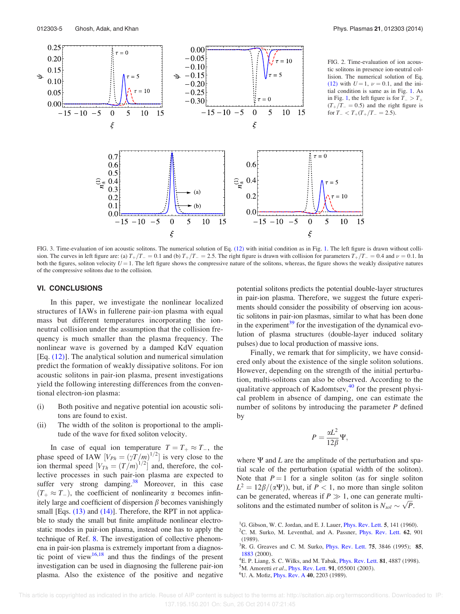

FIG. 3. Time-evaluation of ion acoustic solitons. The numerical solution of Eq. (12) with initial condition as in Fig. 1. The left figure is drawn without collision. The curves in left figure are: (a)  $T_{+}/T_{-} = 0.1$  and (b)  $T_{+}/T_{-} = 2.5$ . The right figure is drawn with collision for parameters  $T_{+}/T_{-} = 0.4$  and  $\nu = 0.1$ . In both the figures, soliton velocity  $U = 1$ . The left figure shows the compressive nature of the solitons, whereas, the figure shows the weakly dissipative natures of the compressive solitons due to the collision.

#### VI. CONCLUSIONS

In this paper, we investigate the nonlinear localized structures of IAWs in fullerene pair-ion plasma with equal mass but different temperatures incorporating the ionneutral collision under the assumption that the collision frequency is much smaller than the plasma frequency. The nonlinear wave is governed by a damped KdV equation [Eq. (12)]. The analytical solution and numerical simulation predict the formation of weakly dissipative solitons. For ion acoustic solitons in pair-ion plasma, present investigations yield the following interesting differences from the conventional electron-ion plasma:

- (i) Both positive and negative potential ion acoustic solitons are found to exist.
- (ii) The width of the soliton is proportional to the amplitude of the wave for fixed soliton velocity.

In case of equal ion temperature  $T = T_+ \approx T_+$ , the phase speed of IAW  $[V_{Ph} = (\gamma T/m)^{1/2}]$  is very close to the ion thermal speed  $[V_{Th} = (T/m)^{1/2}]$  and, therefore, the collective processes in such pair-ion plasma are expected to suffer very strong damping. $38$  Moreover, in this case  $(T_+ \approx T_-)$ , the coefficient of nonlinearity  $\alpha$  becomes infinitely large and coefficient of dispersion  $\beta$  becomes vanishingly small [Eqs. (13) and (14)]. Therefore, the RPT in not applicable to study the small but finite amplitude nonlinear electrostatic modes in pair-ion plasma, instead one has to apply the technique of Ref. 8. The investigation of collective phenomena in pair-ion plasma is extremely important from a diagnostic point of view $16,18$  and thus the findings of the present investigation can be used in diagnosing the fullerene pair-ion plasma. Also the existence of the positive and negative potential solitons predicts the potential double-layer structures in pair-ion plasma. Therefore, we suggest the future experiments should consider the possibility of observing ion acoustic solitons in pair-ion plasmas, similar to what has been done in the experiment $39$  for the investigation of the dynamical evolution of plasma structures (double-layer induced solitary pulses) due to local production of massive ions.

Finally, we remark that for simplicity, we have considered only about the existence of the single soliton solutions. However, depending on the strength of the initial perturbation, multi-solitons can also be observed. According to the qualitative approach of Kadomtsev, $40$  for the present physical problem in absence of damping, one can estimate the number of solitons by introducing the parameter  $P$  defined by

$$
P = \frac{\alpha L^2}{12\beta} \Psi,
$$

where  $\Psi$  and L are the amplitude of the perturbation and spatial scale of the perturbation (spatial width of the soliton). Note that  $P = 1$  for a single soliton (as for single soliton  $L^2 = 12\beta/(\alpha \Psi)$ , but, if  $P < 1$ , no more than single soliton can be generated, whereas if  $P \gg 1$ , one can generate multisolitons and the estimated number of soliton is  $N_{sol} \sim \sqrt{P}$ .

<sup>&</sup>lt;sup>1</sup>G. Gibson, W. C. Jordan, and E. J. Lauer, *Phys. Rev. Lett.* 5, 141 (1960).

 ${}^{2}$ C. M. Surko, M. Leventhal, and A. Passner, *Phys. Rev. Lett.* 62, 901 (1989).

 ${}^{3}$ R. G. Greaves and C. M. Surko, *Phys. Rev. Lett.* **75**, 3846 (1995); **85**, 1883 (2000).

<sup>&</sup>lt;sup>4</sup>E. P. Liang, S. C. Wilks, and M. Tabak, *Phys. Rev. Lett.* **81**, 4887 (1998).

 ${}^{5}$ M. Amoretti et al., Phys. Rev. Lett. 91, 055001 (2003).

<sup>&</sup>lt;sup>6</sup>U. A. Mofiz, *Phys. Rev. A* **40**, 2203 (1989).